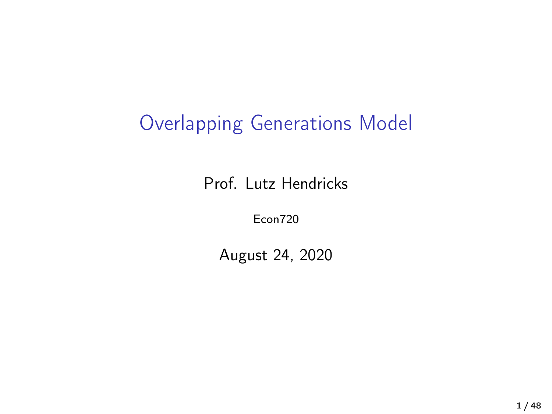# Overlapping Generations Model

Prof. Lutz Hendricks

Econ720

August 24, 2020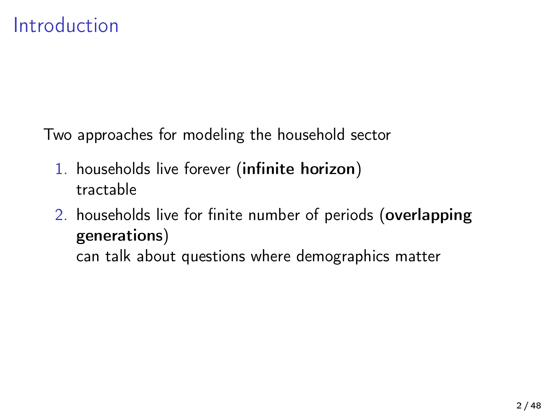Two approaches for modeling the household sector

- 1. households live forever (infinite horizon) tractable
- 2. households live for finite number of periods (overlapping generations) can talk about questions where demographics matter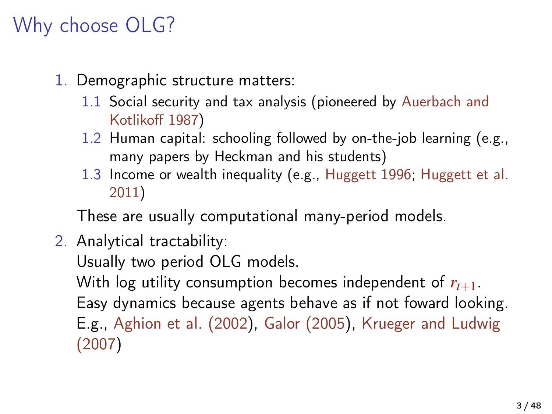# Why choose OLG?

- 1. Demographic structure matters:
	- 1.1 Social security and tax analysis (pioneered by [Auerbach and](#page-46-0) [Kotlikoff 1987\)](#page-46-0)
	- 1.2 Human capital: schooling followed by on-the-job learning (e.g., many papers by Heckman and his students)
	- 1.3 Income or wealth inequality (e.g., [Huggett 1996;](#page-47-0) [Huggett et al.](#page-47-1) [2011\)](#page-47-1)

These are usually computational many-period models.

2. Analytical tractability:

Usually two period OLG models.

With log utility consumption becomes independent of  $r_{t+1}$ . Easy dynamics because agents behave as if not foward looking. E.g., [Aghion et al. \(2002\)](#page-46-1), [Galor \(2005\)](#page-46-2), [Krueger and Ludwig](#page-47-2) [\(2007\)](#page-47-2)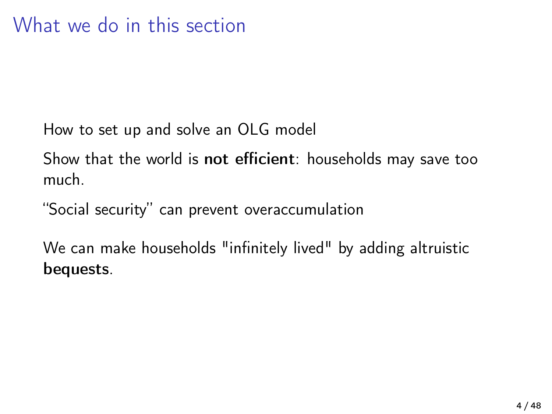How to set up and solve an OLG model

Show that the world is not efficient: households may save too much.

"Social security" can prevent overaccumulation

We can make households "infinitely lived" by adding altruistic bequests.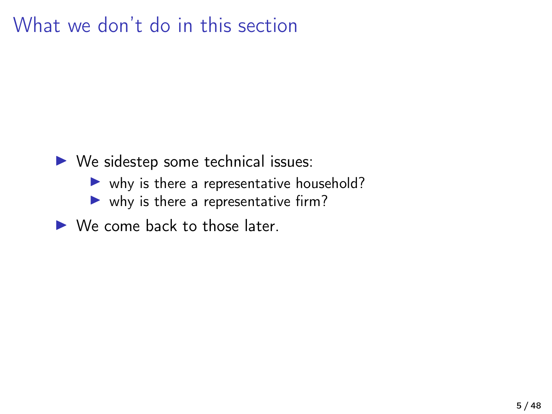## What we don't do in this section

- $\triangleright$  We sidestep some technical issues:
	- $\triangleright$  why is there a representative household?
	- $\blacktriangleright$  why is there a representative firm?
- $\blacktriangleright$  We come back to those later.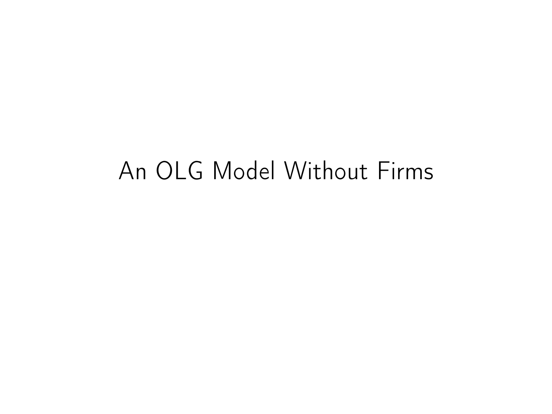# An OLG Model Without Firms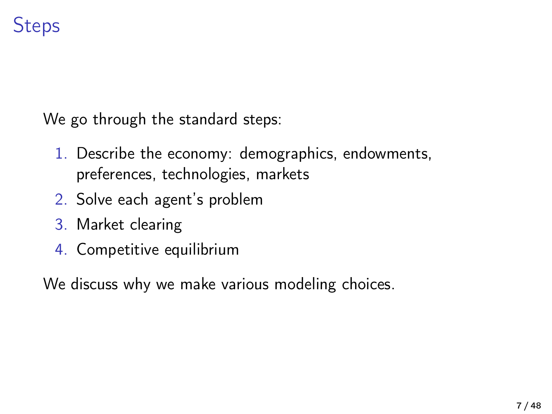### **Steps**

We go through the standard steps:

- 1. Describe the economy: demographics, endowments, preferences, technologies, markets
- 2. Solve each agent's problem
- 3. Market clearing
- 4. Competitive equilibrium

We discuss why we make various modeling choices.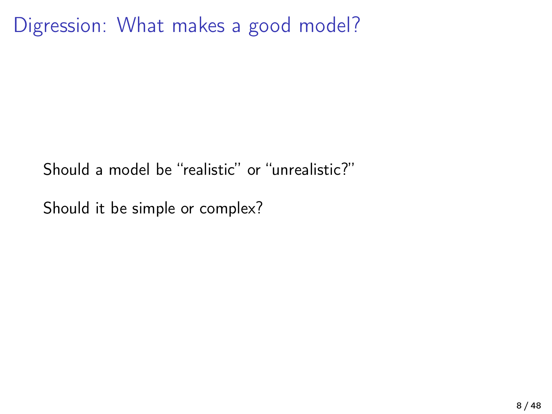Digression: What makes a good model?

Should a model be "realistic" or "unrealistic?"

Should it be simple or complex?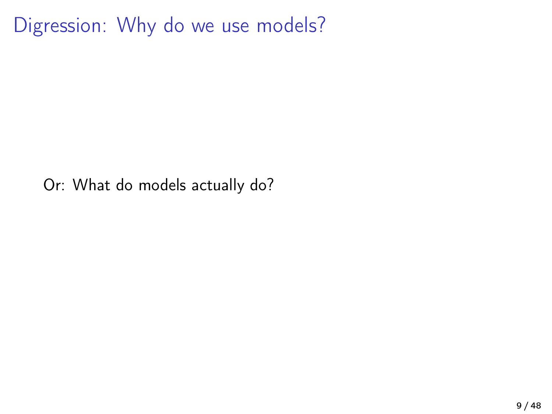Digression: Why do we use models?

Or: What do models actually do?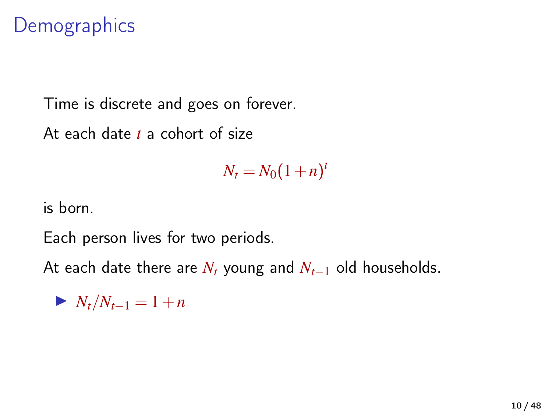#### **Demographics**

Time is discrete and goes on forever.

At each date *t* a cohort of size

 $N_t = N_0(1+n)^t$ 

is born.

Each person lives for two periods.

At each date there are  $N_t$  young and  $N_{t-1}$  old households.

 $\blacktriangleright N_t/N_{t-1} = 1+n$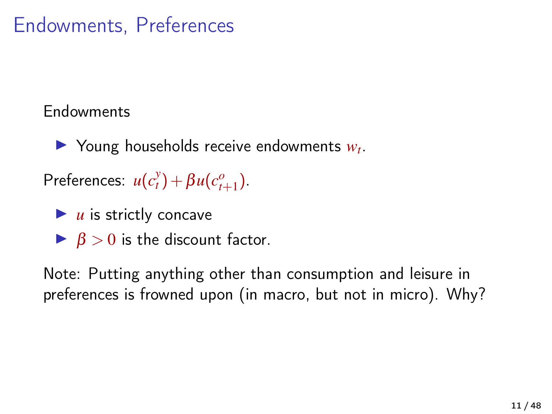# Endowments, Preferences

Endowments

 $\blacktriangleright$  Young households receive endowments  $w_t$ .

Preferences:  $u(c_t^y) + \beta u(c_{t+1}^o)$ .

 $\blacktriangleright$  *u* is strictly concave

 $\triangleright$   $\beta > 0$  is the discount factor.

Note: Putting anything other than consumption and leisure in preferences is frowned upon (in macro, but not in micro). Why?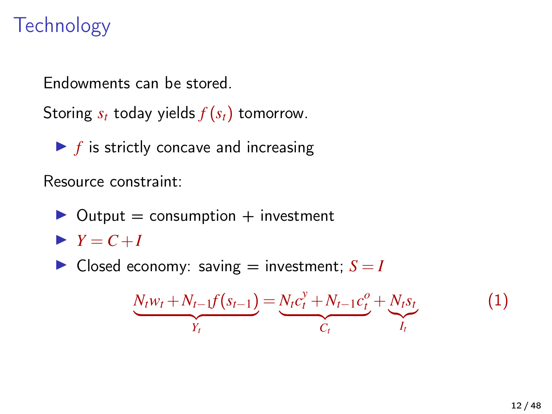# **Technology**

Endowments can be stored.

Storing  $s_t$  today yields  $f(s_t)$  tomorrow.

 $\blacktriangleright$  *f* is strictly concave and increasing

Resource constraint:

- $\triangleright$  Output = consumption + investment
- $Y = C + I$
- $\triangleright$  Closed economy: saving = investment;  $S = I$

$$
\underbrace{N_t w_t + N_{t-1} f(s_{t-1})}_{Y_t} = \underbrace{N_t c_t^y + N_{t-1} c_t^o}_{C_t} + \underbrace{N_t s_t}_{I_t}
$$
 (1)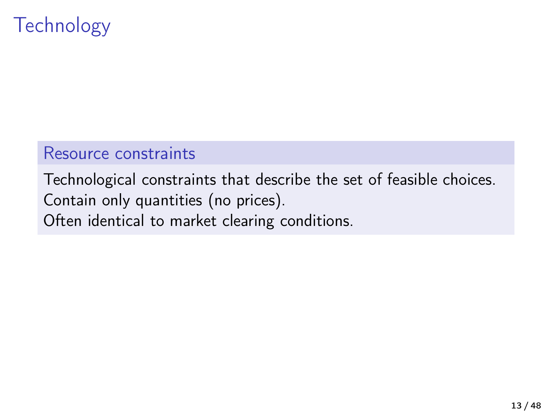# **Technology**

#### Resource constraints

Technological constraints that describe the set of feasible choices. Contain only quantities (no prices). Often identical to market clearing conditions.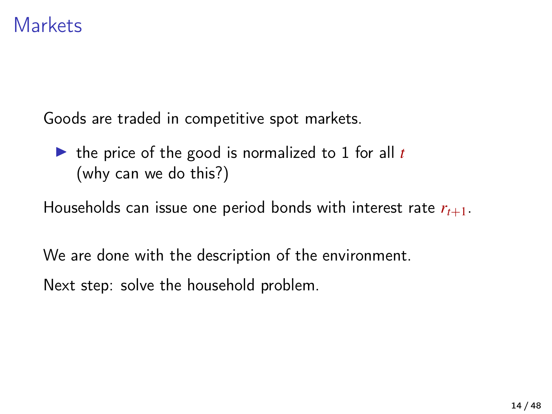#### **Markets**

Goods are traded in competitive spot markets.

 $\triangleright$  the price of the good is normalized to 1 for all *t* (why can we do this?)

Households can issue one period bonds with interest rate  $r_{t+1}$ .

We are done with the description of the environment.

Next step: solve the household problem.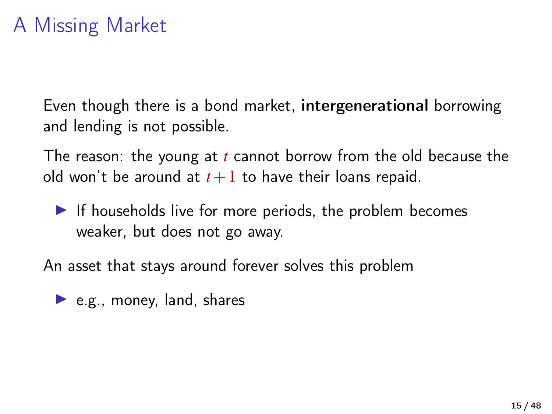# A Missing Market

Even though there is a bond market, intergenerational borrowing and lending is not possible.

The reason: the young at *t* cannot borrow from the old because the old won't be around at  $t+1$  to have their loans repaid.

 $\blacktriangleright$  If households live for more periods, the problem becomes weaker, but does not go away.

An asset that stays around forever solves this problem

 $\blacktriangleright$  e.g., money, land, shares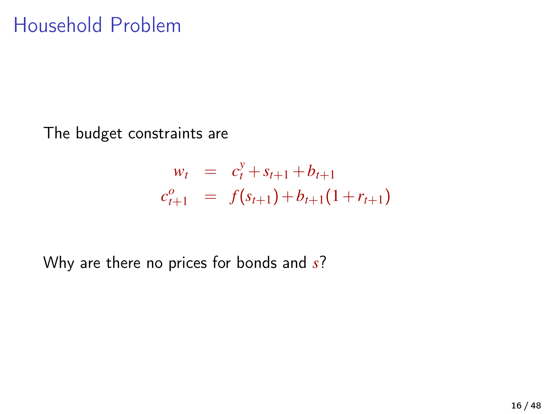The budget constraints are

$$
w_t = c_t^y + s_{t+1} + b_{t+1}
$$
  
\n
$$
c_{t+1}^o = f(s_{t+1}) + b_{t+1}(1 + r_{t+1})
$$

Why are there no prices for bonds and *s*?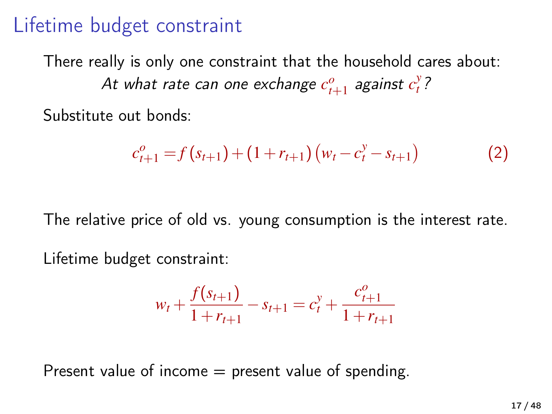#### Lifetime budget constraint

There really is only one constraint that the household cares about: At what rate can one exchange  $c_{t+1}^o$  against  $c_t^y \tilde{x}$ Substitute out bonds:

$$
c_{t+1}^{o} = f(s_{t+1}) + (1 + r_{t+1}) \left( w_t - c_t^{y} - s_{t+1} \right) \tag{2}
$$

The relative price of old vs. young consumption is the interest rate. Lifetime budget constraint:

$$
w_{t} + \frac{f(s_{t+1})}{1 + r_{t+1}} - s_{t+1} = c_{t}^{y} + \frac{c_{t+1}^{o}}{1 + r_{t+1}}
$$

Present value of income  $=$  present value of spending.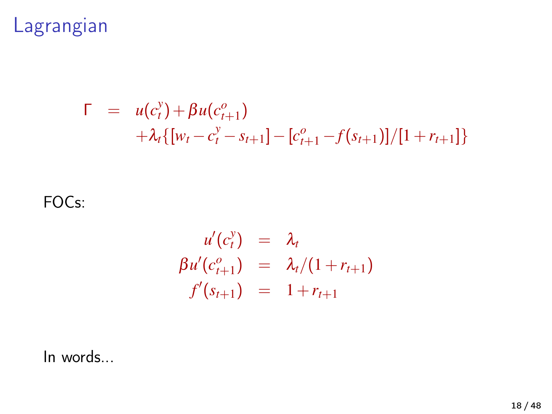#### Lagrangian

# $Γ = u(c<sub>t</sub><sup>y</sup>) + βu(c<sub>t+1</sub><sup>o</sup>)$  $+\lambda_t\{[w_t-c_t^y-s_{t+1}]-[c_{t+1}^o-f(s_{t+1})]/[1+r_{t+1}]\}$

FOCs:

$$
u'(c_t^y) = \lambda_t \n\beta u'(c_{t+1}^o) = \lambda_t/(1 + r_{t+1}) \n f'(s_{t+1}) = 1 + r_{t+1}
$$

In words...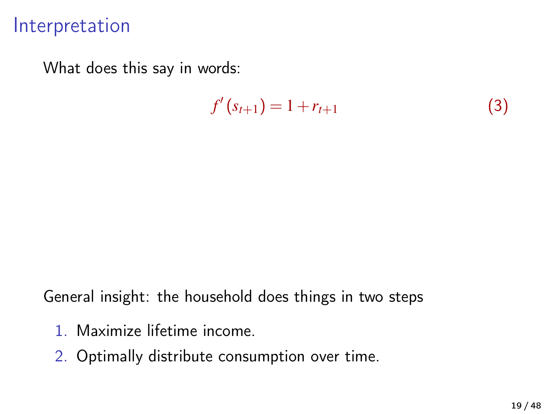#### Interpretation

What does this say in words:

$$
f'(s_{t+1}) = 1 + r_{t+1} \tag{3}
$$

General insight: the household does things in two steps

- 1. Maximize lifetime income.
- 2. Optimally distribute consumption over time.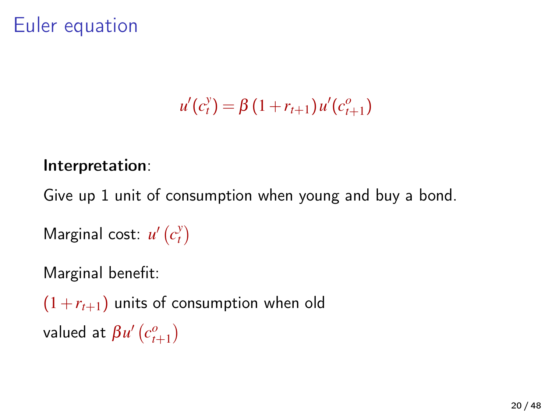#### Euler equation

$$
u'(c_t^y) = \beta(1 + r_{t+1})u'(c_{t+1}^o)
$$

#### Interpretation:

Give up 1 unit of consumption when young and buy a bond.

Marginal cost:  $u' (c_t^y)$ 

Marginal benefit:

 $(1+r_{t+1})$  units of consumption when old  $\mathsf{v}$ alued at  $\beta u'\left(c_{t+1}^{o}\right)$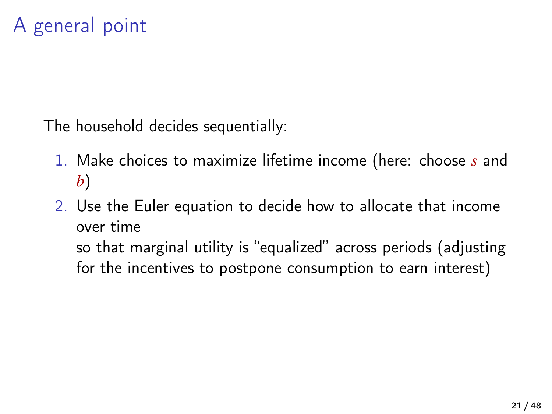The household decides sequentially:

- 1. Make choices to maximize lifetime income (here: choose *s* and *b*)
- 2. Use the Euler equation to decide how to allocate that income over time so that marginal utility is "equalized" across periods (adjusting for the incentives to postpone consumption to earn interest)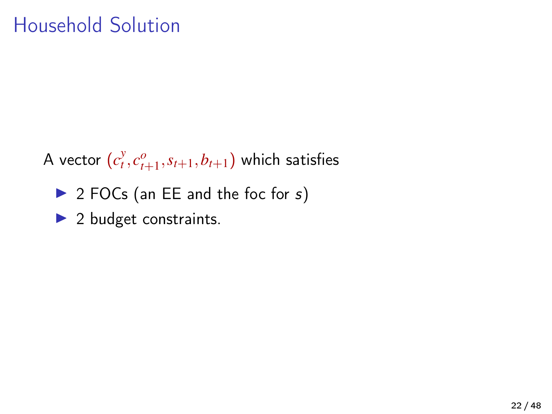#### Household Solution

A vector  $(c^y_t, c^o_{t+1}, s_{t+1}, b_{t+1})$  which satisfies

- $\triangleright$  2 FOCs (an EE and the foc for s)
- $\blacktriangleright$  2 budget constraints.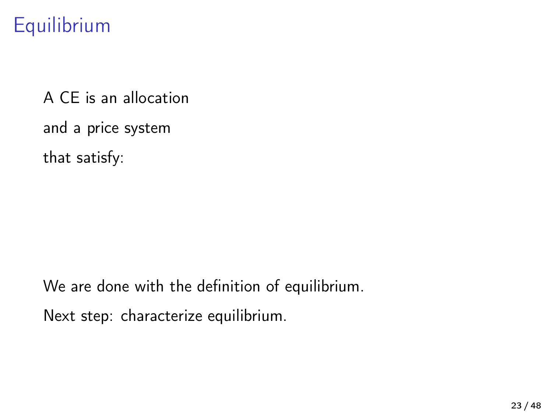# **Equilibrium**

A CE is an allocation and a price system that satisfy:

We are done with the definition of equilibrium. Next step: characterize equilibrium.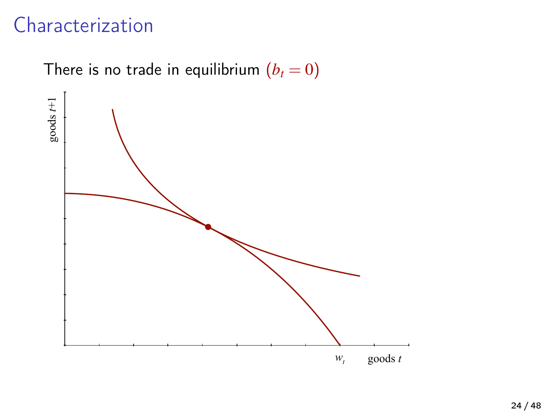#### Characterization

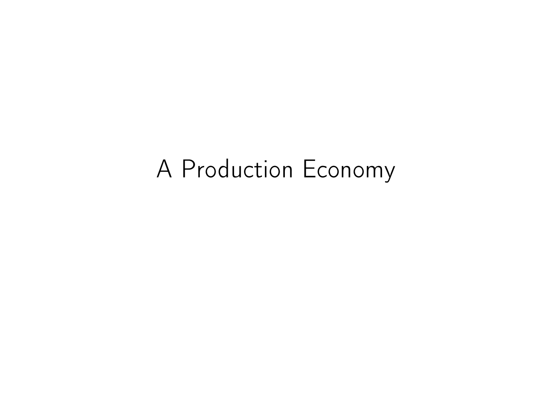# A Production Economy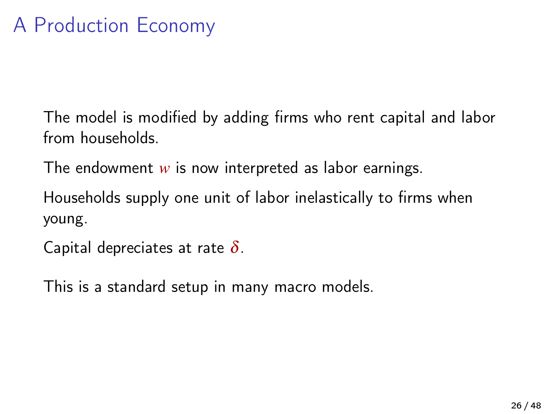# A Production Economy

The model is modified by adding firms who rent capital and labor from households.

The endowment  $w$  is now interpreted as labor earnings.

Households supply one unit of labor inelastically to firms when young.

Capital depreciates at rate  $\delta$ .

This is a standard setup in many macro models.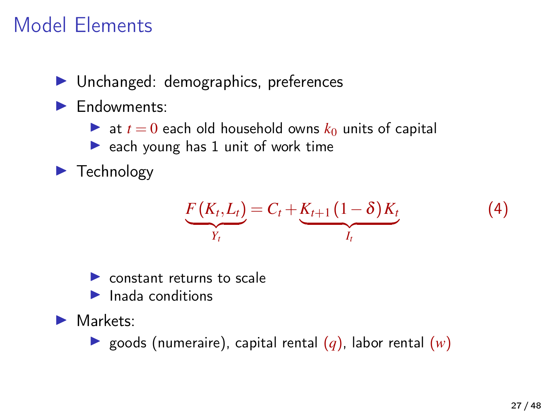# Model Elements

- $\blacktriangleright$  Unchanged: demographics, preferences
- **F**ndowments:
	- ightharpoontal at  $t = 0$  each old household owns  $k_0$  units of capital
	- $\blacktriangleright$  each young has 1 unit of work time
- $\blacktriangleright$  Technology

$$
\underbrace{F\left(K_{t},L_{t}\right)}_{Y_{t}}=C_{t}+\underbrace{K_{t+1}\left(1-\delta\right)K_{t}}_{I_{t}}
$$



 $\blacktriangleright$  Inada conditions

 $\blacktriangleright$  Markets:

 $\blacktriangleright$  goods (numeraire), capital rental  $(q)$ , labor rental  $(w)$ 

(4)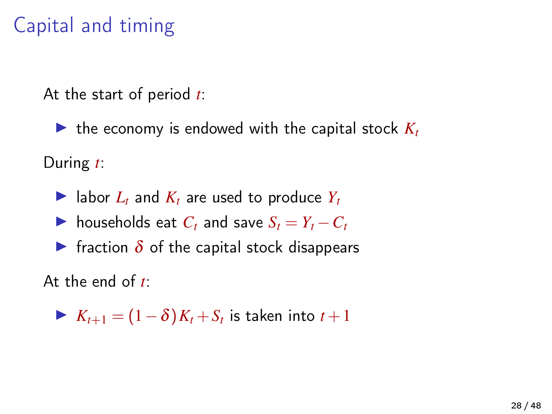# Capital and timing

At the start of period *t*:

 $\blacktriangleright$  the economy is endowed with the capital stock  $K_t$ 

During *t*:

- labor  $L_t$  and  $K_t$  are used to produce  $Y_t$
- $\triangleright$  households eat  $C_t$  and save  $S_t = Y_t C_t$
- **Figure 1** fraction  $\delta$  of the capital stock disappears

At the end of *t*:

$$
K_{t+1} = (1 - \delta)K_t + S_t
$$
 is taken into  $t+1$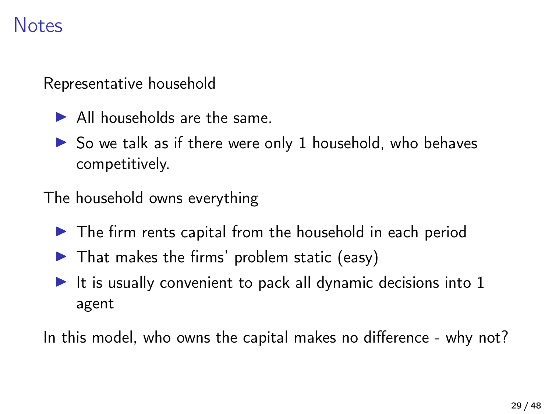#### Notes

Representative household

- $\blacktriangleright$  All households are the same.
- $\triangleright$  So we talk as if there were only 1 household, who behaves competitively.
- The household owns everything
	- $\blacktriangleright$  The firm rents capital from the household in each period
	- $\blacktriangleright$  That makes the firms' problem static (easy)
	- It is usually convenient to pack all dynamic decisions into  $1$ agent

In this model, who owns the capital makes no difference - why not?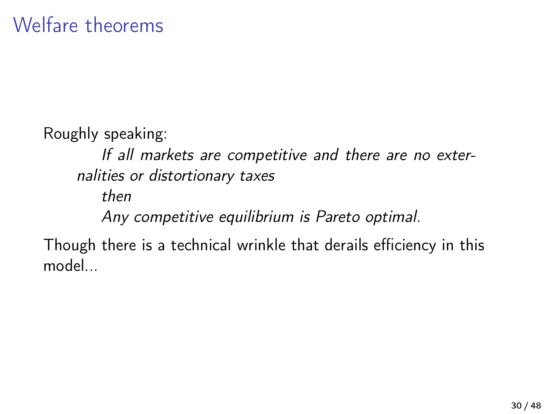Roughly speaking: If all markets are competitive and there are no externalities or distortionary taxes then Any competitive equilibrium is Pareto optimal. Though there is a technical wrinkle that derails efficiency in this model...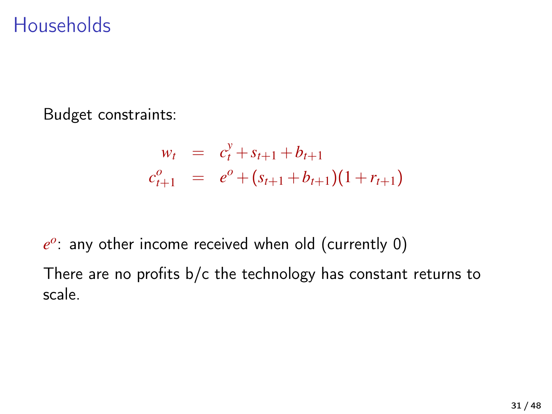#### Households

Budget constraints:

$$
w_t = c_t^y + s_{t+1} + b_{t+1}
$$
  
\n
$$
c_{t+1}^o = e^o + (s_{t+1} + b_{t+1})(1 + r_{t+1})
$$

 $e^o$ : any other income received when old (currently 0) There are no profits b/c the technology has constant returns to scale.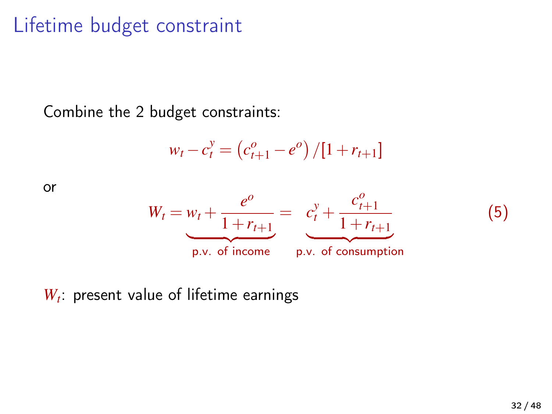# Lifetime budget constraint

Combine the 2 budget constraints:

$$
w_t - c_t^y = \left(c_{t+1}^o - e^o\right) / [1 + r_{t+1}]
$$

or



*Wt* : present value of lifetime earnings

(5)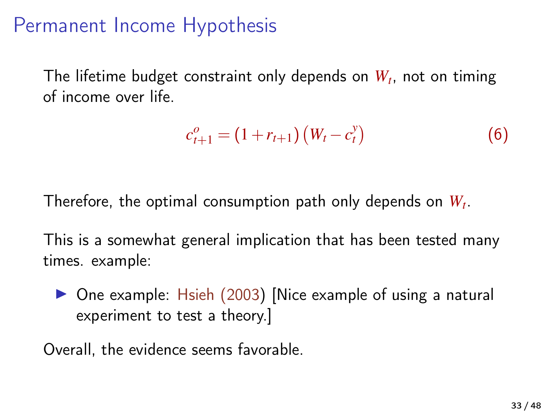#### Permanent Income Hypothesis

The lifetime budget constraint only depends on  $W_t$ , not on timing of income over life.

$$
c_{t+1}^{o} = (1 + r_{t+1}) (W_t - c_t^{v})
$$
 (6)

Therefore, the optimal consumption path only depends on *W<sup>t</sup>* .

This is a somewhat general implication that has been tested many times. example:

 $\triangleright$  One example: [Hsieh \(2003\)](#page-47-3) [Nice example of using a natural experiment to test a theory.]

Overall, the evidence seems favorable.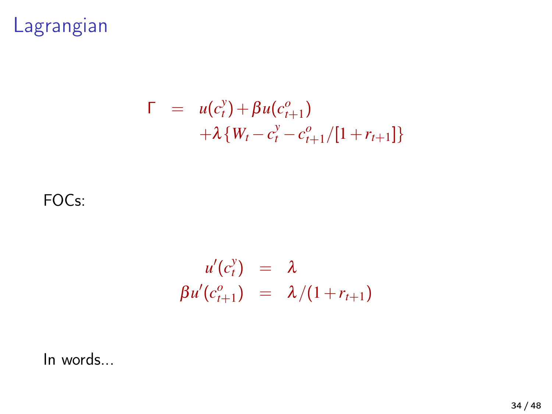# Lagrangian

$$
\Gamma = u(c_t^y) + \beta u(c_{t+1}^o) + \lambda \{W_t - c_t^y - c_{t+1}^o/[1 + r_{t+1}]\}
$$

FOCs:

$$
u'(c_t^y) = \lambda
$$
  
\n
$$
\beta u'(c_{t+1}^o) = \lambda/(1+r_{t+1})
$$

In words...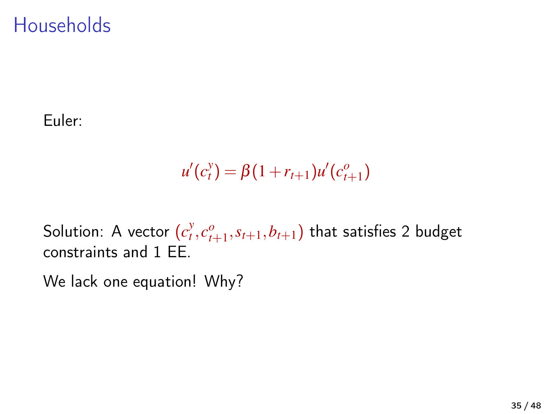#### **Households**

Euler:

$$
u'(c_t^y) = \beta(1 + r_{t+1})u'(c_{t+1}^o)
$$

Solution: A vector  $(c^y_t, c^o_{t+1}, s_{t+1}, b_{t+1})$  that satisfies 2 budget constraints and 1 EE.

We lack one equation! Why?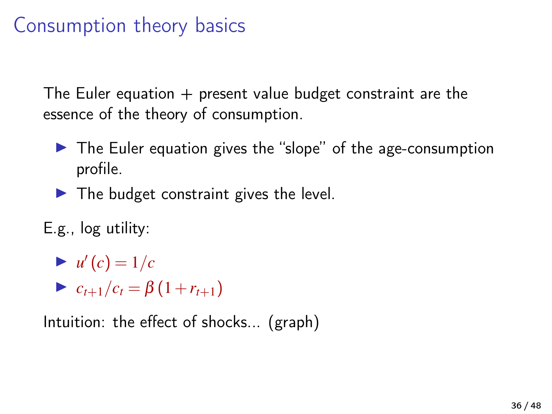## Consumption theory basics

The Euler equation  $+$  present value budget constraint are the essence of the theory of consumption.

- $\blacktriangleright$  The Euler equation gives the "slope" of the age-consumption profile.
- $\blacktriangleright$  The budget constraint gives the level.
- E.g., log utility:
	- $\blacksquare$  *u'*(*c*) = 1/*c*
	- $\triangleright$   $c_{t+1}/c_t = \beta(1+r_{t+1})$

Intuition: the effect of shocks... (graph)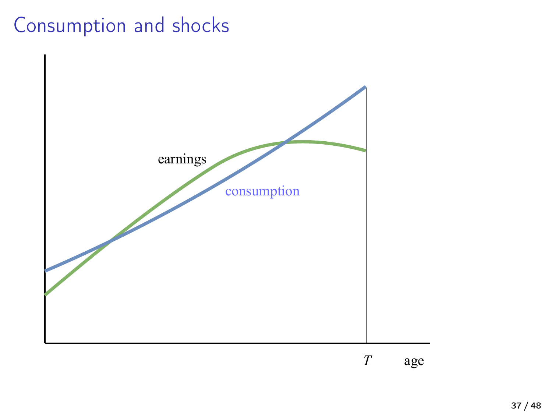# Consumption and shocks

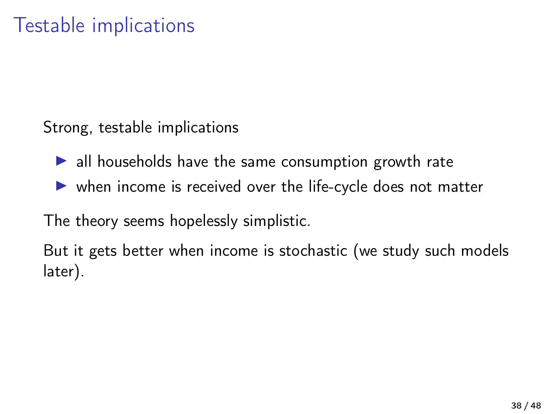Strong, testable implications

- $\blacktriangleright$  all households have the same consumption growth rate
- $\triangleright$  when income is received over the life-cycle does not matter

The theory seems hopelessly simplistic.

But it gets better when income is stochastic (we study such models later).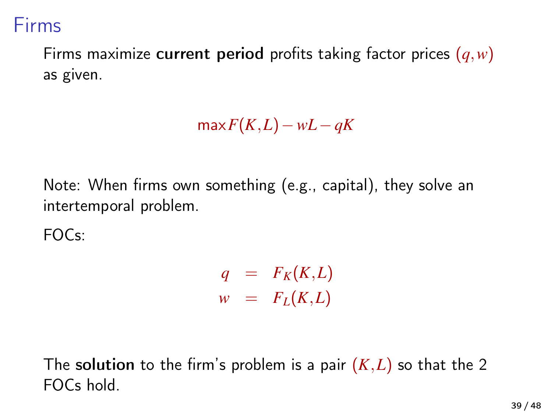#### Firms

Firms maximize current period profits taking factor prices (*q*,*w*) as given.

 $max F(K,L) - wL - qK$ 

Note: When firms own something (e.g., capital), they solve an intertemporal problem.

FOCs:

$$
q = F_K(K,L)
$$
  

$$
w = F_L(K,L)
$$

The solution to the firm's problem is a pair  $(K, L)$  so that the 2 FOCs hold.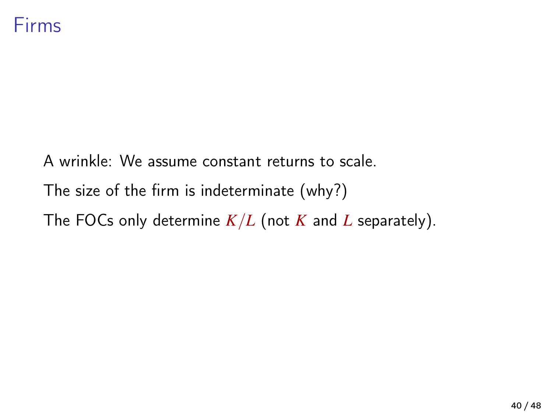A wrinkle: We assume constant returns to scale. The size of the firm is indeterminate (why?) The FOCs only determine *K*/*L* (not *K* and *L* separately).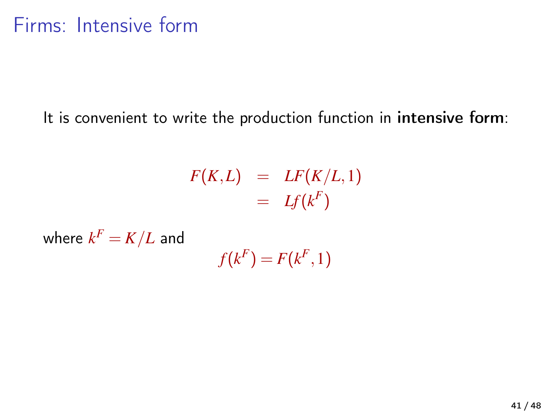#### Firms: Intensive form

#### It is convenient to write the production function in intensive form:

$$
F(K,L) = LF(K/L,1)
$$
  
=  $Lf(k^F)$ 

 $\kappa^F = K/L$  and

 $f(k^{F}) = F(k^{F}, 1)$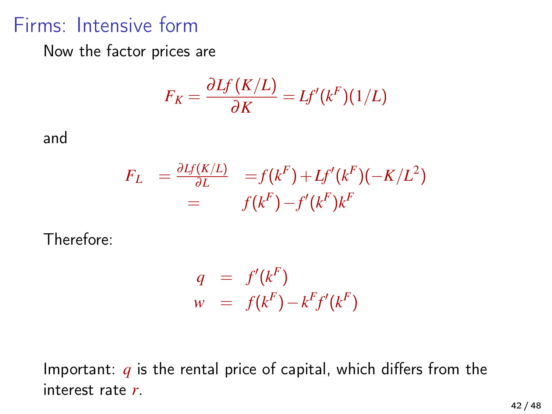#### Firms: Intensive form

Now the factor prices are

$$
F_K = \frac{\partial Lf(K/L)}{\partial K} = Lf'(k^F)(1/L)
$$

and

$$
F_L = \frac{\partial Lf(K/L)}{\partial L} = f(k^F) + Lf'(k^F)(-K/L^2)
$$
  
=  $f(k^F) - f'(k^F)k^F$ 

Therefore:

$$
q = f'(k^F)
$$
  

$$
w = f(k^F) - k^F f'(k^F)
$$

Important: *q* is the rental price of capital, which differs from the interest rate *r*.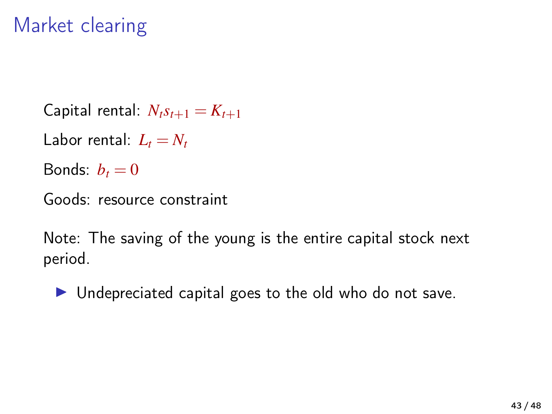### Market clearing

Capital rental:  $N_t s_{t+1} = K_{t+1}$ 

Labor rental:  $L_t = N_t$ 

Bonds:  $b_t = 0$ 

Goods: resource constraint

Note: The saving of the young is the entire capital stock next period.

 $\triangleright$  Undepreciated capital goes to the old who do not save.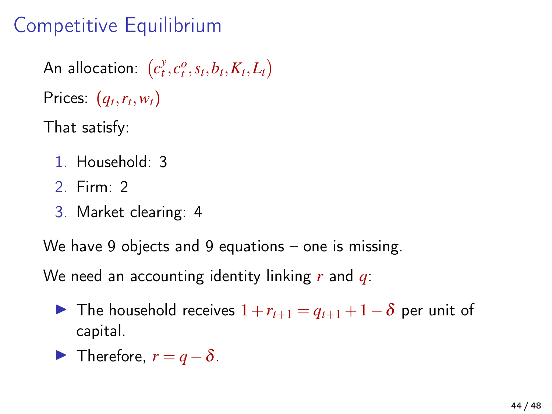# Competitive Equilibrium

An allocation:  $(c_t^y, c_t^o, s_t, b_t, K_t, L_t)$ Prices:  $(q_t, r_t, w_t)$ That satisfy:

- 1. Household: 3
- 2. Firm: 2
- 3. Market clearing: 4

We have 9 objects and 9 equations – one is missing.

We need an accounting identity linking *r* and *q*:

- $\triangleright$  The household receives  $1+r_{t+1} = q_{t+1} + 1-\delta$  per unit of capital.
- $\blacktriangleright$  Therefore,  $r = q \delta$ .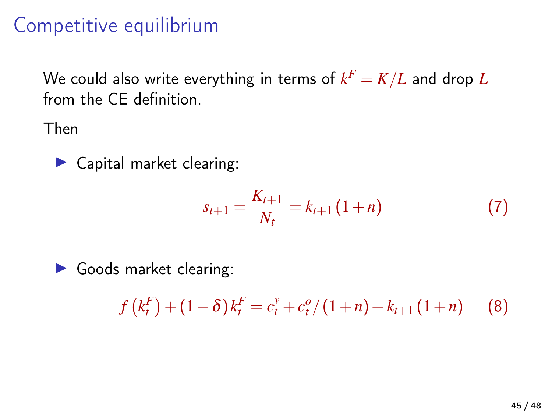### Competitive equilibrium

We could also write everything in terms of  $k^F = K/L$  and drop  $L$ from the CE definition.

Then

 $\blacktriangleright$  Capital market clearing:

$$
s_{t+1} = \frac{K_{t+1}}{N_t} = k_{t+1} (1+n)
$$
 (7)

I Goods market clearing:

$$
f(k_t^F) + (1 - \delta)k_t^F = c_t^y + c_t^o / (1 + n) + k_{t+1}(1 + n)
$$
 (8)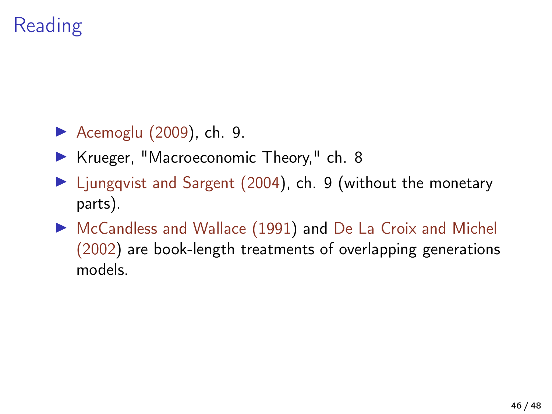# Reading

- Acemoglu  $(2009)$ , ch. 9.
- ▶ Krueger, "Macroeconomic Theory," ch. 8
- ▶ [Ljungqvist and Sargent \(2004\)](#page-47-4), ch. 9 (without the monetary parts).
- ▶ [McCandless and Wallace \(1991\)](#page-47-5) and [De La Croix and Michel](#page-46-4) [\(2002\)](#page-46-4) are book-length treatments of overlapping generations models.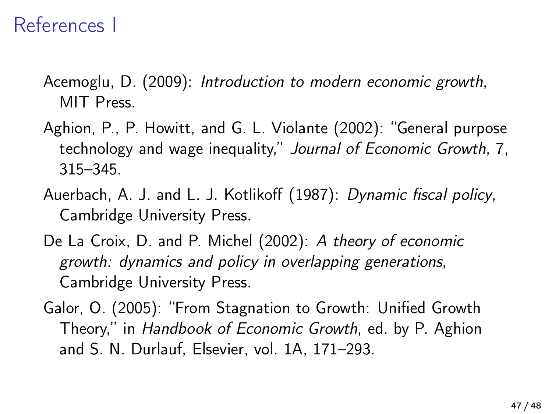# References I

- <span id="page-46-3"></span>Acemoglu, D. (2009): Introduction to modern economic growth, MIT Press.
- <span id="page-46-1"></span>Aghion, P., P. Howitt, and G. L. Violante (2002): "General purpose technology and wage inequality," Journal of Economic Growth, 7, 315–345.
- <span id="page-46-0"></span>Auerbach, A. J. and L. J. Kotlikoff (1987): Dynamic fiscal policy, Cambridge University Press.
- <span id="page-46-4"></span>De La Croix, D. and P. Michel (2002): A theory of economic growth: dynamics and policy in overlapping generations, Cambridge University Press.
- <span id="page-46-2"></span>Galor, O. (2005): "From Stagnation to Growth: Unified Growth Theory," in Handbook of Economic Growth, ed. by P. Aghion and S. N. Durlauf, Elsevier, vol. 1A, 171–293.